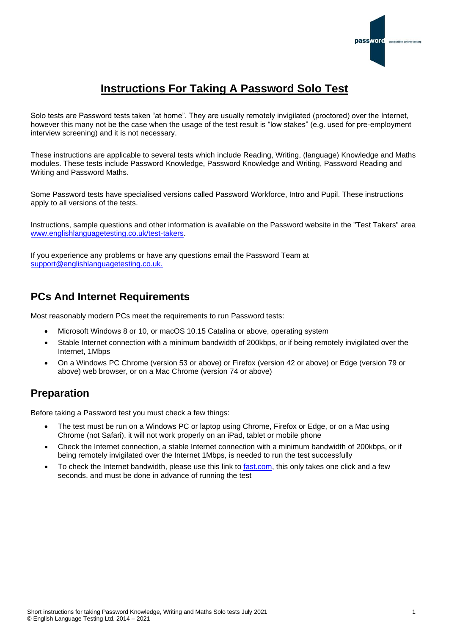

# **Instructions For Taking A Password Solo Test**

Solo tests are Password tests taken "at home". They are usually remotely invigilated (proctored) over the Internet, however this many not be the case when the usage of the test result is "low stakes" (e.g. used for pre-employment interview screening) and it is not necessary.

These instructions are applicable to several tests which include Reading, Writing, (language) Knowledge and Maths modules. These tests include Password Knowledge, Password Knowledge and Writing, Password Reading and Writing and Password Maths.

Some Password tests have specialised versions called Password Workforce, Intro and Pupil. These instructions apply to all versions of the tests.

Instructions, sample questions and other information is available on the Password website in the "Test Takers" area [www.englishlanguagetesting.co.uk/test-takers.](https://www.englishlanguagetesting.co.uk/test-takers)

If you experience any problems or have any questions email the Password Team at [support@englishlanguagetesting.co.uk.](mailto:support@englishlanguagetesting.co.uk)

# **PCs And Internet Requirements**

Most reasonably modern PCs meet the requirements to run Password tests:

- Microsoft Windows 8 or 10, or macOS 10.15 Catalina or above, operating system
- Stable Internet connection with a minimum bandwidth of 200kbps, or if being remotely invigilated over the Internet, 1Mbps
- On a Windows PC Chrome (version 53 or above) or Firefox (version 42 or above) or Edge (version 79 or above) web browser, or on a Mac Chrome (version 74 or above)

# **Preparation**

Before taking a Password test you must check a few things:

- The test must be run on a Windows PC or laptop using Chrome, Firefox or Edge, or on a Mac using Chrome (not Safari), it will not work properly on an iPad, tablet or mobile phone
- Check the Internet connection, a stable Internet connection with a minimum bandwidth of 200kbps, or if being remotely invigilated over the Internet 1Mbps, is needed to run the test successfully
- To check the Internet bandwidth, please use this link to [fast.com,](https://fast.com/) this only takes one click and a few seconds, and must be done in advance of running the test